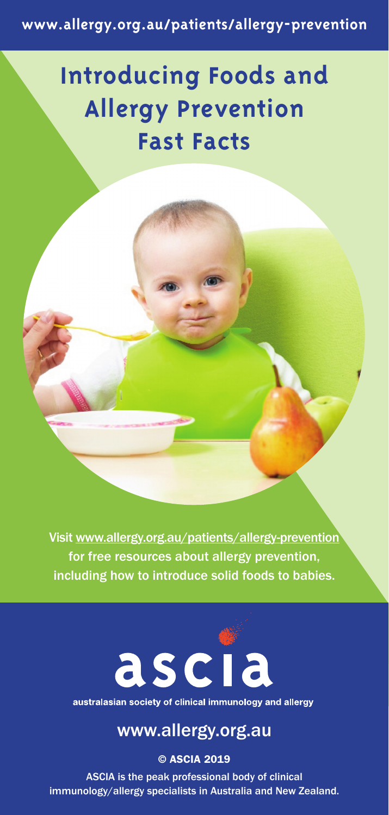**www.allergy.org.au/patients/allergy-prevention**

## **Introducing Foods and Allergy Prevention Fast Facts**

Visit www.allergy.org.au/patients/allergy-prevention for free resources about allergy prevention, including how to introduce solid foods to babies.



australasian society of clinical immunology and allergy

### www.allergy.org.au

© ASCIA 2019

ASCIA is the peak professional body of clinical immunology/allergy specialists in Australia and New Zealand.